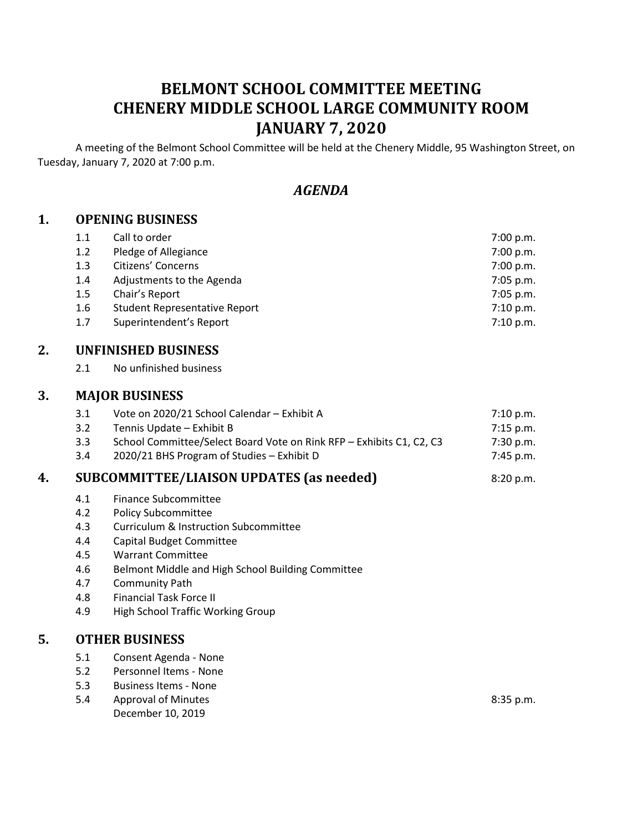# **BELMONT SCHOOL COMMITTEE MEETING CHENERY MIDDLE SCHOOL LARGE COMMUNITY ROOM JANUARY 7, 2020**

A meeting of the Belmont School Committee will be held at the Chenery Middle, 95 Washington Street, on Tuesday, January 7, 2020 at 7:00 p.m.

## *AGENDA*

#### **1. OPENING BUSINESS**

| 1.1 | Call to order                 | 7:00 p.m.   |
|-----|-------------------------------|-------------|
| 1.2 | Pledge of Allegiance          | 7:00 p.m.   |
| 1.3 | Citizens' Concerns            | 7:00 p.m.   |
| 1.4 | Adjustments to the Agenda     | $7:05$ p.m. |
| 1.5 | Chair's Report                | $7:05$ p.m. |
| 1.6 | Student Representative Report | 7:10 p.m.   |
| 1.7 | Superintendent's Report       | 7:10 p.m.   |

## **2. UNFINISHED BUSINESS**

2.1 No unfinished business

#### **3. MAJOR BUSINESS**

| 3.1 | Vote on 2020/21 School Calendar – Exhibit A                          | 7:10 p.m.   |
|-----|----------------------------------------------------------------------|-------------|
| 3.2 | Tennis Update – Exhibit B                                            | 7:15 p.m.   |
| 3.3 | School Committee/Select Board Vote on Rink RFP - Exhibits C1, C2, C3 | 7:30 p.m.   |
| 3.4 | 2020/21 BHS Program of Studies – Exhibit D                           | $7:45$ p.m. |

#### **4. SUBCOMMITTEE/LIAISON UPDATES (as needed)** 8:20 p.m.

- 4.1 Finance Subcommittee
- 4.2 Policy Subcommittee
- 4.3 Curriculum & Instruction Subcommittee
- 4.4 Capital Budget Committee
- 4.5 Warrant Committee
- 4.6 Belmont Middle and High School Building Committee
- 4.7 Community Path
- 4.8 Financial Task Force II
- 4.9 High School Traffic Working Group

#### **5. OTHER BUSINESS**

- 5.1 Consent Agenda None
- 5.2 Personnel Items None
- 5.3 Business Items None
- 5.4 Approval of Minutes **8:35 p.m.** December 10, 2019
	-